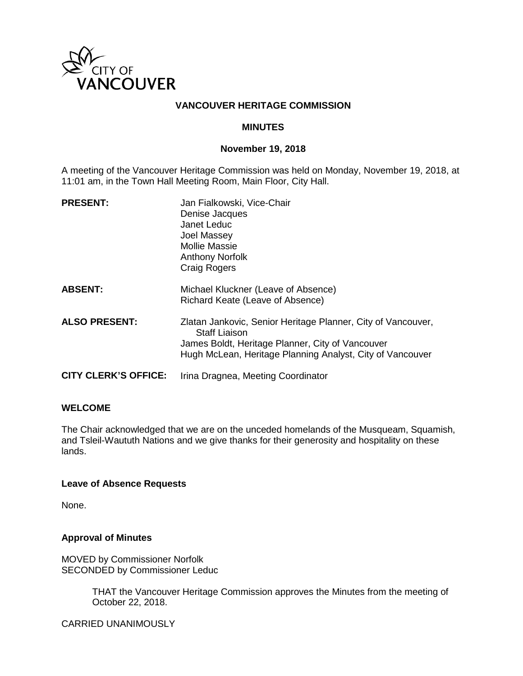

#### **VANCOUVER HERITAGE COMMISSION**

#### **MINUTES**

#### **November 19, 2018**

A meeting of the Vancouver Heritage Commission was held on Monday, November 19, 2018, at 11:01 am, in the Town Hall Meeting Room, Main Floor, City Hall.

| <b>PRESENT:</b>             | Jan Fialkowski, Vice-Chair<br>Denise Jacques<br>Janet Leduc<br>Joel Massey<br>Mollie Massie<br><b>Anthony Norfolk</b><br><b>Craig Rogers</b>                                                          |
|-----------------------------|-------------------------------------------------------------------------------------------------------------------------------------------------------------------------------------------------------|
| <b>ABSENT:</b>              | Michael Kluckner (Leave of Absence)<br>Richard Keate (Leave of Absence)                                                                                                                               |
| <b>ALSO PRESENT:</b>        | Zlatan Jankovic, Senior Heritage Planner, City of Vancouver,<br><b>Staff Liaison</b><br>James Boldt, Heritage Planner, City of Vancouver<br>Hugh McLean, Heritage Planning Analyst, City of Vancouver |
| <b>CITY CLERK'S OFFICE:</b> | Irina Dragnea, Meeting Coordinator                                                                                                                                                                    |

#### **WELCOME**

The Chair acknowledged that we are on the unceded homelands of the Musqueam, Squamish, and Tsleil-Waututh Nations and we give thanks for their generosity and hospitality on these lands.

#### **Leave of Absence Requests**

None.

#### **Approval of Minutes**

MOVED by Commissioner Norfolk SECONDED by Commissioner Leduc

> THAT the Vancouver Heritage Commission approves the Minutes from the meeting of October 22, 2018.

CARRIED UNANIMOUSLY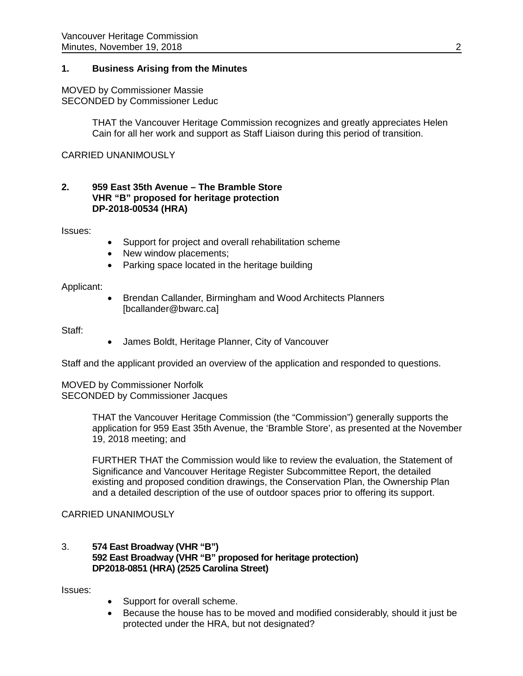#### **1. Business Arising from the Minutes**

# MOVED by Commissioner Massie

SECONDED by Commissioner Leduc

THAT the Vancouver Heritage Commission recognizes and greatly appreciates Helen Cain for all her work and support as Staff Liaison during this period of transition.

CARRIED UNANIMOUSLY

#### **2. 959 East 35th Avenue – The Bramble Store VHR "B" proposed for heritage protection DP-2018-00534 (HRA)**

Issues:

- Support for project and overall rehabilitation scheme
- New window placements;
- Parking space located in the heritage building

## Applicant:

• Brendan Callander, Birmingham and Wood Architects Planners [bcallander@bwarc.ca]

Staff:

• James Boldt, Heritage Planner, City of Vancouver

Staff and the applicant provided an overview of the application and responded to questions.

MOVED by Commissioner Norfolk SECONDED by Commissioner Jacques

> THAT the Vancouver Heritage Commission (the "Commission") generally supports the application for 959 East 35th Avenue, the 'Bramble Store', as presented at the November 19, 2018 meeting; and

FURTHER THAT the Commission would like to review the evaluation, the Statement of Significance and Vancouver Heritage Register Subcommittee Report, the detailed existing and proposed condition drawings, the Conservation Plan, the Ownership Plan and a detailed description of the use of outdoor spaces prior to offering its support.

## CARRIED UNANIMOUSLY

## 3. **574 East Broadway (VHR "B") 592 East Broadway (VHR "B" proposed for heritage protection) DP2018-0851 (HRA) (2525 Carolina Street)**

Issues:

- Support for overall scheme.
- Because the house has to be moved and modified considerably, should it just be protected under the HRA, but not designated?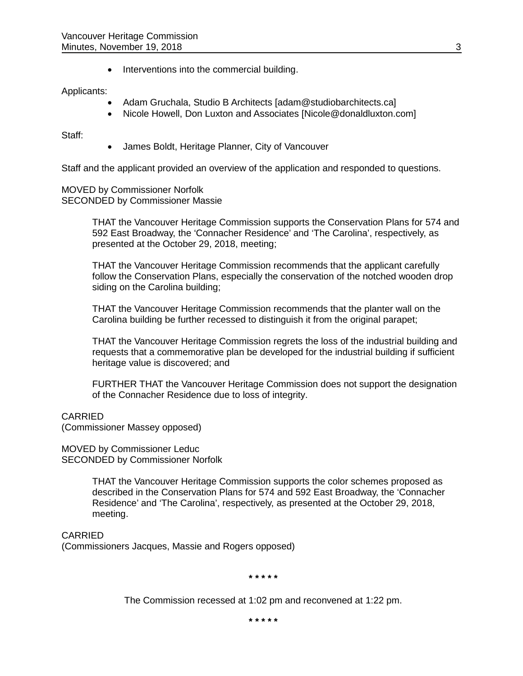• Interventions into the commercial building.

## Applicants:

- Adam Gruchala, Studio B Architects [\[adam@studiobarchitects.ca\]](mailto:adam@studiobarchitects.ca)
- Nicole Howell, Don Luxton and Associates [\[Nicole@donaldluxton.com\]](mailto:Nicole@donaldluxton.com)

Staff:

• James Boldt, Heritage Planner, City of Vancouver

Staff and the applicant provided an overview of the application and responded to questions.

#### MOVED by Commissioner Norfolk SECONDED by Commissioner Massie

THAT the Vancouver Heritage Commission supports the Conservation Plans for 574 and 592 East Broadway, the 'Connacher Residence' and 'The Carolina', respectively, as presented at the October 29, 2018, meeting;

THAT the Vancouver Heritage Commission recommends that the applicant carefully follow the Conservation Plans, especially the conservation of the notched wooden drop siding on the Carolina building;

THAT the Vancouver Heritage Commission recommends that the planter wall on the Carolina building be further recessed to distinguish it from the original parapet;

THAT the Vancouver Heritage Commission regrets the loss of the industrial building and requests that a commemorative plan be developed for the industrial building if sufficient heritage value is discovered; and

FURTHER THAT the Vancouver Heritage Commission does not support the designation of the Connacher Residence due to loss of integrity.

## CARRIED

(Commissioner Massey opposed)

MOVED by Commissioner Leduc SECONDED by Commissioner Norfolk

> THAT the Vancouver Heritage Commission supports the color schemes proposed as described in the Conservation Plans for 574 and 592 East Broadway, the 'Connacher Residence' and 'The Carolina', respectively, as presented at the October 29, 2018, meeting.

CARRIED (Commissioners Jacques, Massie and Rogers opposed)

**\* \* \* \* \***

The Commission recessed at 1:02 pm and reconvened at 1:22 pm.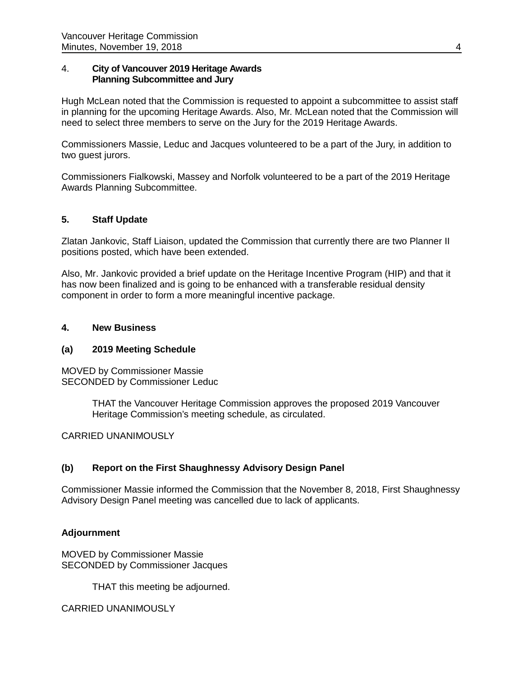## 4. **City of Vancouver 2019 Heritage Awards Planning Subcommittee and Jury**

Hugh McLean noted that the Commission is requested to appoint a subcommittee to assist staff in planning for the upcoming Heritage Awards. Also, Mr. McLean noted that the Commission will need to select three members to serve on the Jury for the 2019 Heritage Awards.

Commissioners Massie, Leduc and Jacques volunteered to be a part of the Jury, in addition to two guest jurors.

Commissioners Fialkowski, Massey and Norfolk volunteered to be a part of the 2019 Heritage Awards Planning Subcommittee.

## **5. Staff Update**

Zlatan Jankovic, Staff Liaison, updated the Commission that currently there are two Planner II positions posted, which have been extended.

Also, Mr. Jankovic provided a brief update on the Heritage Incentive Program (HIP) and that it has now been finalized and is going to be enhanced with a transferable residual density component in order to form a more meaningful incentive package.

#### **4. New Business**

#### **(a) 2019 Meeting Schedule**

MOVED by Commissioner Massie SECONDED by Commissioner Leduc

> THAT the Vancouver Heritage Commission approves the proposed 2019 Vancouver Heritage Commission's meeting schedule, as circulated.

CARRIED UNANIMOUSLY

## **(b) Report on the First Shaughnessy Advisory Design Panel**

Commissioner Massie informed the Commission that the November 8, 2018, First Shaughnessy Advisory Design Panel meeting was cancelled due to lack of applicants.

## **Adjournment**

MOVED by Commissioner Massie SECONDED by Commissioner Jacques

THAT this meeting be adjourned.

CARRIED UNANIMOUSLY